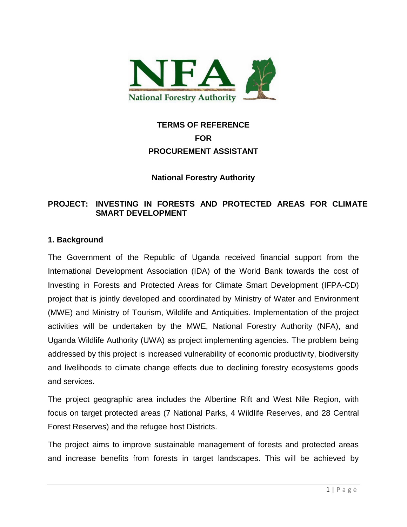

# **TERMS OF REFERENCE FOR PROCUREMENT ASSISTANT**

## **National Forestry Authority**

## **PROJECT: INVESTING IN FORESTS AND PROTECTED AREAS FOR CLIMATE SMART DEVELOPMENT**

#### **1. Background**

The Government of the Republic of Uganda received financial support from the International Development Association (IDA) of the World Bank towards the cost of Investing in Forests and Protected Areas for Climate Smart Development (IFPA-CD) project that is jointly developed and coordinated by Ministry of Water and Environment (MWE) and Ministry of Tourism, Wildlife and Antiquities. Implementation of the project activities will be undertaken by the MWE, National Forestry Authority (NFA), and Uganda Wildlife Authority (UWA) as project implementing agencies. The problem being addressed by this project is increased vulnerability of economic productivity, biodiversity and livelihoods to climate change effects due to declining forestry ecosystems goods and services.

The project geographic area includes the Albertine Rift and West Nile Region, with focus on target protected areas (7 National Parks, 4 Wildlife Reserves, and 28 Central Forest Reserves) and the refugee host Districts.

The project aims to improve sustainable management of forests and protected areas and increase benefits from forests in target landscapes. This will be achieved by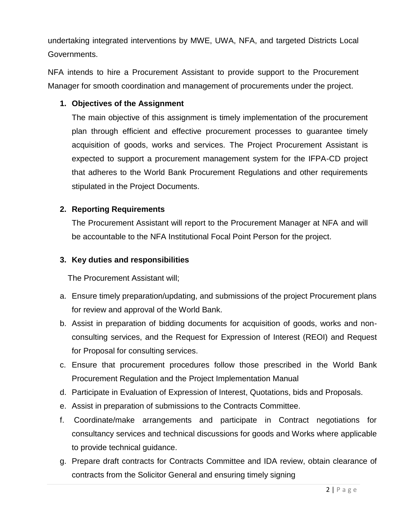undertaking integrated interventions by MWE, UWA, NFA, and targeted Districts Local Governments.

NFA intends to hire a Procurement Assistant to provide support to the Procurement Manager for smooth coordination and management of procurements under the project.

## **1. Objectives of the Assignment**

The main objective of this assignment is timely implementation of the procurement plan through efficient and effective procurement processes to guarantee timely acquisition of goods, works and services. The Project Procurement Assistant is expected to support a procurement management system for the IFPA-CD project that adheres to the World Bank Procurement Regulations and other requirements stipulated in the Project Documents.

#### **2. Reporting Requirements**

The Procurement Assistant will report to the Procurement Manager at NFA and will be accountable to the NFA Institutional Focal Point Person for the project.

#### **3. Key duties and responsibilities**

The Procurement Assistant will;

- a. Ensure timely preparation/updating, and submissions of the project Procurement plans for review and approval of the World Bank.
- b. Assist in preparation of bidding documents for acquisition of goods, works and nonconsulting services, and the Request for Expression of Interest (REOI) and Request for Proposal for consulting services.
- c. Ensure that procurement procedures follow those prescribed in the World Bank Procurement Regulation and the Project Implementation Manual
- d. Participate in Evaluation of Expression of Interest, Quotations, bids and Proposals.
- e. Assist in preparation of submissions to the Contracts Committee.
- f. Coordinate/make arrangements and participate in Contract negotiations for consultancy services and technical discussions for goods and Works where applicable to provide technical guidance.
- g. Prepare draft contracts for Contracts Committee and IDA review, obtain clearance of contracts from the Solicitor General and ensuring timely signing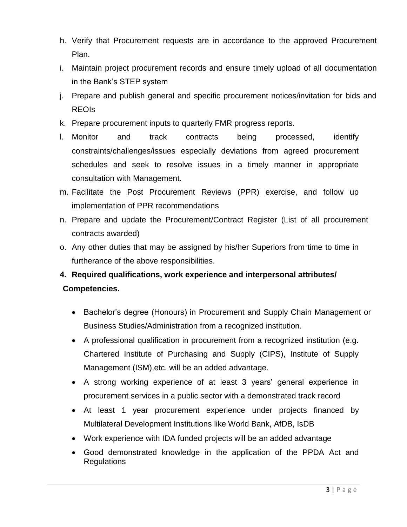- h. Verify that Procurement requests are in accordance to the approved Procurement Plan.
- i. Maintain project procurement records and ensure timely upload of all documentation in the Bank's STEP system
- j. Prepare and publish general and specific procurement notices/invitation for bids and REOIs
- k. Prepare procurement inputs to quarterly FMR progress reports.
- l. Monitor and track contracts being processed, identify constraints/challenges/issues especially deviations from agreed procurement schedules and seek to resolve issues in a timely manner in appropriate consultation with Management.
- m. Facilitate the Post Procurement Reviews (PPR) exercise, and follow up implementation of PPR recommendations
- n. Prepare and update the Procurement/Contract Register (List of all procurement contracts awarded)
- o. Any other duties that may be assigned by his/her Superiors from time to time in furtherance of the above responsibilities.

## **4. Required qualifications, work experience and interpersonal attributes/ Competencies.**

- Bachelor's degree (Honours) in Procurement and Supply Chain Management or Business Studies/Administration from a recognized institution.
- A professional qualification in procurement from a recognized institution (e.g. Chartered Institute of Purchasing and Supply (CIPS), Institute of Supply Management (ISM),etc. will be an added advantage.
- A strong working experience of at least 3 years' general experience in procurement services in a public sector with a demonstrated track record
- At least 1 year procurement experience under projects financed by Multilateral Development Institutions like World Bank, AfDB, IsDB
- Work experience with IDA funded projects will be an added advantage
- Good demonstrated knowledge in the application of the PPDA Act and **Regulations**